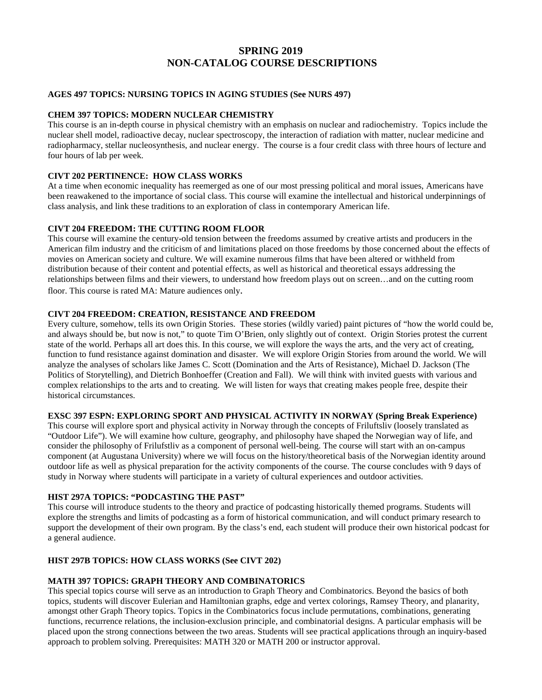# **SPRING 2019 NON-CATALOG COURSE DESCRIPTIONS**

## **AGES 497 TOPICS: NURSING TOPICS IN AGING STUDIES (See NURS 497)**

#### **CHEM 397 TOPICS: MODERN NUCLEAR CHEMISTRY**

This course is an in-depth course in physical chemistry with an emphasis on nuclear and radiochemistry. Topics include the nuclear shell model, radioactive decay, nuclear spectroscopy, the interaction of radiation with matter, nuclear medicine and radiopharmacy, stellar nucleosynthesis, and nuclear energy. The course is a four credit class with three hours of lecture and four hours of lab per week.

# **CIVT 202 PERTINENCE: HOW CLASS WORKS**

At a time when economic inequality has reemerged as one of our most pressing political and moral issues, Americans have been reawakened to the importance of social class. This course will examine the intellectual and historical underpinnings of class analysis, and link these traditions to an exploration of class in contemporary American life.

## **CIVT 204 FREEDOM: THE CUTTING ROOM FLOOR**

This course will examine the century-old tension between the freedoms assumed by creative artists and producers in the American film industry and the criticism of and limitations placed on those freedoms by those concerned about the effects of movies on American society and culture. We will examine numerous films that have been altered or withheld from distribution because of their content and potential effects, as well as historical and theoretical essays addressing the relationships between films and their viewers, to understand how freedom plays out on screen…and on the cutting room floor. This course is rated MA: Mature audiences only.

#### **CIVT 204 FREEDOM: CREATION, RESISTANCE AND FREEDOM**

Every culture, somehow, tells its own Origin Stories. These stories (wildly varied) paint pictures of "how the world could be, and always should be, but now is not," to quote Tim O'Brien, only slightly out of context. Origin Stories protest the current state of the world. Perhaps all art does this. In this course, we will explore the ways the arts, and the very act of creating, function to fund resistance against domination and disaster. We will explore Origin Stories from around the world. We will analyze the analyses of scholars like James C. Scott (Domination and the Arts of Resistance), Michael D. Jackson (The Politics of Storytelling), and Dietrich Bonhoeffer (Creation and Fall). We will think with invited guests with various and complex relationships to the arts and to creating. We will listen for ways that creating makes people free, despite their historical circumstances.

#### **EXSC 397 ESPN: EXPLORING SPORT AND PHYSICAL ACTIVITY IN NORWAY (Spring Break Experience)**

This course will explore sport and physical activity in Norway through the concepts of Friluftsliv (loosely translated as "Outdoor Life"). We will examine how culture, geography, and philosophy have shaped the Norwegian way of life, and consider the philosophy of Frilufstliv as a component of personal well-being. The course will start with an on-campus component (at Augustana University) where we will focus on the history/theoretical basis of the Norwegian identity around outdoor life as well as physical preparation for the activity components of the course. The course concludes with 9 days of study in Norway where students will participate in a variety of cultural experiences and outdoor activities.

## **HIST 297A TOPICS: "PODCASTING THE PAST"**

This course will introduce students to the theory and practice of podcasting historically themed programs. Students will explore the strengths and limits of podcasting as a form of historical communication, and will conduct primary research to support the development of their own program. By the class's end, each student will produce their own historical podcast for a general audience.

## **HIST 297B TOPICS: HOW CLASS WORKS (See CIVT 202)**

#### **MATH 397 TOPICS: GRAPH THEORY AND COMBINATORICS**

This special topics course will serve as an introduction to Graph Theory and Combinatorics. Beyond the basics of both topics, students will discover Eulerian and Hamiltonian graphs, edge and vertex colorings, Ramsey Theory, and planarity, amongst other Graph Theory topics. Topics in the Combinatorics focus include permutations, combinations, generating functions, recurrence relations, the inclusion-exclusion principle, and combinatorial designs. A particular emphasis will be placed upon the strong connections between the two areas. Students will see practical applications through an inquiry-based approach to problem solving. Prerequisites: MATH 320 or MATH 200 or instructor approval.